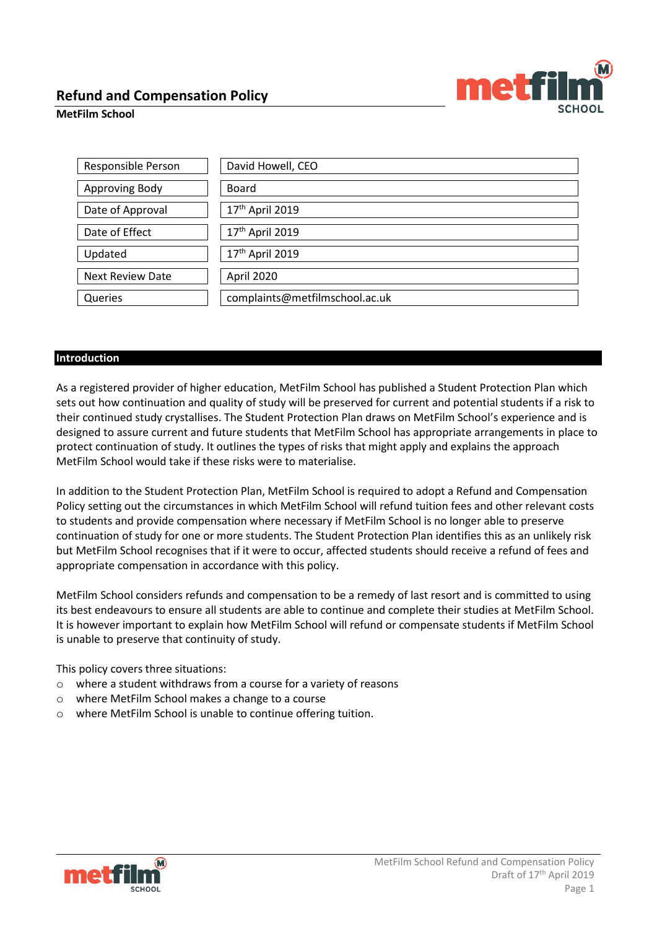

# **MetFilm School**

| Responsible Person      | David Howell, CEO              |
|-------------------------|--------------------------------|
|                         |                                |
| Approving Body          | <b>Board</b>                   |
|                         |                                |
| Date of Approval        | 17 <sup>th</sup> April 2019    |
|                         |                                |
| Date of Effect          | 17 <sup>th</sup> April 2019    |
|                         |                                |
| Updated                 | 17th April 2019                |
|                         |                                |
| <b>Next Review Date</b> | April 2020                     |
|                         |                                |
| Queries                 | complaints@metfilmschool.ac.uk |
|                         |                                |

# **Introduction**

As a registered provider of higher education, MetFilm School has published a Student Protection Plan which sets out how continuation and quality of study will be preserved for current and potential students if a risk to their continued study crystallises. The Student Protection Plan draws on MetFilm School's experience and is designed to assure current and future students that MetFilm School has appropriate arrangements in place to protect continuation of study. It outlines the types of risks that might apply and explains the approach MetFilm School would take if these risks were to materialise.

In addition to the Student Protection Plan, MetFilm School is required to adopt a Refund and Compensation Policy setting out the circumstances in which MetFilm School will refund tuition fees and other relevant costs to students and provide compensation where necessary if MetFilm School is no longer able to preserve continuation of study for one or more students. The Student Protection Plan identifies this as an unlikely risk but MetFilm School recognises that if it were to occur, affected students should receive a refund of fees and appropriate compensation in accordance with this policy.

MetFilm School considers refunds and compensation to be a remedy of last resort and is committed to using its best endeavours to ensure all students are able to continue and complete their studies at MetFilm School. It is however important to explain how MetFilm School will refund or compensate students if MetFilm School is unable to preserve that continuity of study.

This policy covers three situations:

- o where a student withdraws from a course for a variety of reasons
- o where MetFilm School makes a change to a course
- o where MetFilm School is unable to continue offering tuition.

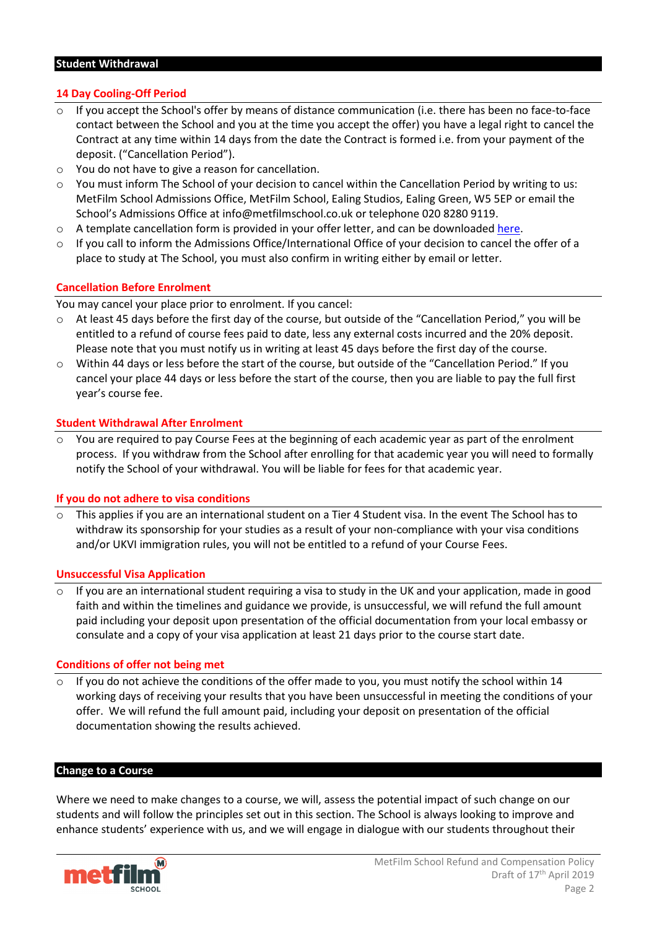### **Student Withdrawal**

# **14 Day Cooling-Off Period**

- If you accept the School's offer by means of distance communication (i.e. there has been no face-to-face contact between the School and you at the time you accept the offer) you have a legal right to cancel the Contract at any time within 14 days from the date the Contract is formed i.e. from your payment of the deposit. ("Cancellation Period").
- o You do not have to give a reason for cancellation.
- o You must inform The School of your decision to cancel within the Cancellation Period by writing to us: MetFilm School Admissions Office, MetFilm School, Ealing Studios, Ealing Green, W5 5EP or email the School's Admissions Office a[t info@metfilmschool.co.uk](mailto:info@metfilmschool.co.uk) or telephone 020 8280 9119.
- $\circ$  A template cancellation form is provided in your offer letter, and can be downloaded [here.](https://go.pardot.com/l/72912/2018-05-09/c1kg85)
- $\circ$  If you call to inform the Admissions Office/International Office of your decision to cancel the offer of a place to study at The School, you must also confirm in writing either by email or letter.

# **Cancellation Before Enrolment**

You may cancel your place prior to enrolment. If you cancel:

- o At least 45 days before the first day of the course, but outside of the "Cancellation Period," you will be entitled to a refund of course fees paid to date, less any external costs incurred and the 20% deposit. Please note that you must notify us in writing at least 45 days before the first day of the course.
- o Within 44 days or less before the start of the course, but outside of the "Cancellation Period." If you cancel your place 44 days or less before the start of the course, then you are liable to pay the full first year's course fee.

# **Student Withdrawal After Enrolment**

You are required to pay Course Fees at the beginning of each academic year as part of the enrolment process. If you withdraw from the School after enrolling for that academic year you will need to formally notify the School of your withdrawal. You will be liable for fees for that academic year.

### **If you do not adhere to visa conditions**

o This applies if you are an international student on a Tier 4 Student visa. In the event The School has to withdraw its sponsorship for your studies as a result of your non-compliance with your visa conditions and/or UKVI immigration rules, you will not be entitled to a refund of your Course Fees.

### **Unsuccessful Visa Application**

If you are an international student requiring a visa to study in the UK and your application, made in good faith and within the timelines and guidance we provide, is unsuccessful, we will refund the full amount paid including your deposit upon presentation of the official documentation from your local embassy or consulate and a copy of your visa application at least 21 days prior to the course start date.

### **Conditions of offer not being met**

If you do not achieve the conditions of the offer made to you, you must notify the school within 14 working days of receiving your results that you have been unsuccessful in meeting the conditions of your offer. We will refund the full amount paid, including your deposit on presentation of the official documentation showing the results achieved.

### **Change to a Course**

Where we need to make changes to a course, we will, assess the potential impact of such change on our students and will follow the principles set out in this section. The School is always looking to improve and enhance students' experience with us, and we will engage in dialogue with our students throughout their

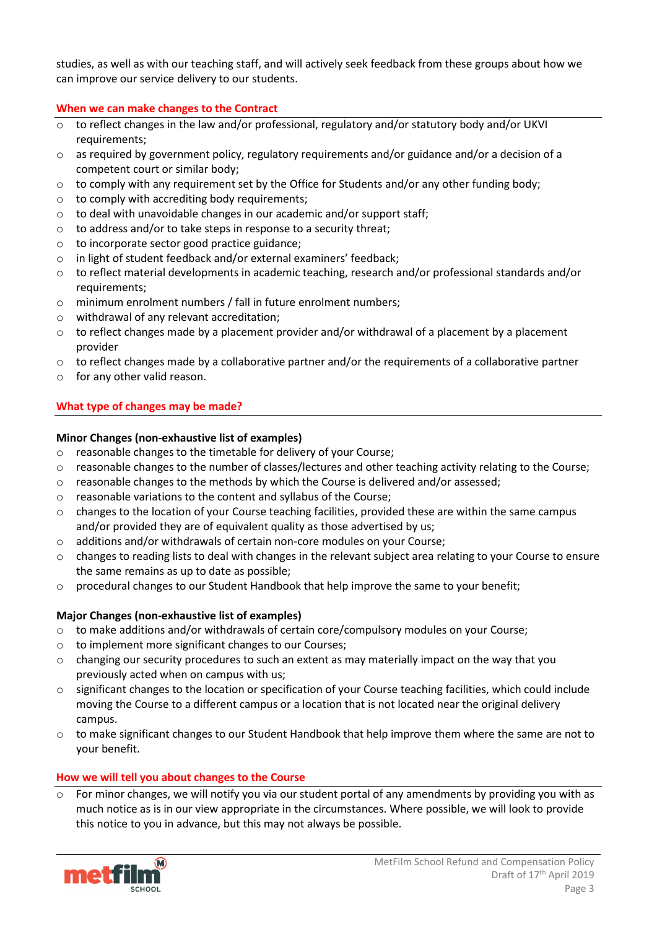studies, as well as with our teaching staff, and will actively seek feedback from these groups about how we can improve our service delivery to our students.

# **When we can make changes to the Contract**

- o to reflect changes in the law and/or professional, regulatory and/or statutory body and/or UKVI requirements;
- $\circ$  as required by government policy, regulatory requirements and/or guidance and/or a decision of a competent court or similar body;
- $\circ$  to comply with any requirement set by the Office for Students and/or any other funding body;
- o to comply with accrediting body requirements;
- o to deal with unavoidable changes in our academic and/or support staff;
- $\circ$  to address and/or to take steps in response to a security threat;
- o to incorporate sector good practice guidance;
- o in light of student feedback and/or external examiners' feedback;
- $\circ$  to reflect material developments in academic teaching, research and/or professional standards and/or requirements;
- o minimum enrolment numbers / fall in future enrolment numbers;
- o withdrawal of any relevant accreditation;
- o to reflect changes made by a placement provider and/or withdrawal of a placement by a placement provider
- $\circ$  to reflect changes made by a collaborative partner and/or the requirements of a collaborative partner
- o for any other valid reason.

# **What type of changes may be made?**

# **Minor Changes (non-exhaustive list of examples)**

- o reasonable changes to the timetable for delivery of your Course;
- $\circ$  reasonable changes to the number of classes/lectures and other teaching activity relating to the Course;
- $\circ$  reasonable changes to the methods by which the Course is delivered and/or assessed;
- o reasonable variations to the content and syllabus of the Course;
- $\circ$  changes to the location of your Course teaching facilities, provided these are within the same campus and/or provided they are of equivalent quality as those advertised by us;
- $\circ$  additions and/or withdrawals of certain non-core modules on your Course;
- o changes to reading lists to deal with changes in the relevant subject area relating to your Course to ensure the same remains as up to date as possible;
- $\circ$  procedural changes to our Student Handbook that help improve the same to your benefit;

# **Major Changes (non-exhaustive list of examples)**

- $\circ$  to make additions and/or withdrawals of certain core/compulsory modules on your Course;
- o to implement more significant changes to our Courses;
- $\circ$  changing our security procedures to such an extent as may materially impact on the way that you previously acted when on campus with us;
- o significant changes to the location or specification of your Course teaching facilities, which could include moving the Course to a different campus or a location that is not located near the original delivery campus.
- $\circ$  to make significant changes to our Student Handbook that help improve them where the same are not to your benefit.

# **How we will tell you about changes to the Course**

For minor changes, we will notify you via our student portal of any amendments by providing you with as much notice as is in our view appropriate in the circumstances. Where possible, we will look to provide this notice to you in advance, but this may not always be possible.

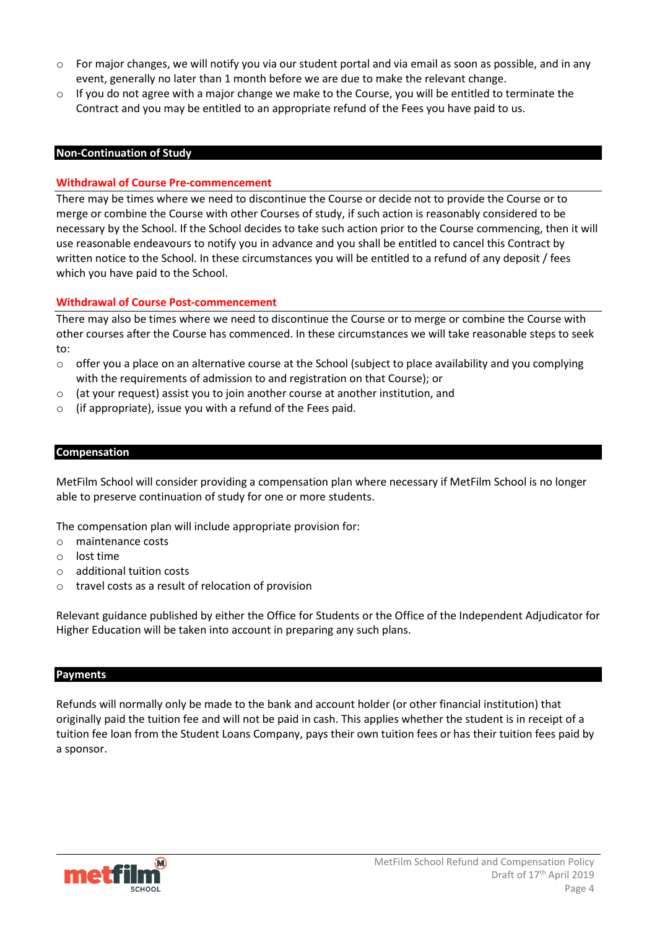- $\circ$  For major changes, we will notify you via our student portal and via email as soon as possible, and in any event, generally no later than 1 month before we are due to make the relevant change.
- $\circ$  If you do not agree with a major change we make to the Course, you will be entitled to terminate the Contract and you may be entitled to an appropriate refund of the Fees you have paid to us.

## **Non-Continuation of Study**

# **Withdrawal of Course Pre-commencement**

There may be times where we need to discontinue the Course or decide not to provide the Course or to merge or combine the Course with other Courses of study, if such action is reasonably considered to be necessary by the School. If the School decides to take such action prior to the Course commencing, then it will use reasonable endeavours to notify you in advance and you shall be entitled to cancel this Contract by written notice to the School. In these circumstances you will be entitled to a refund of any deposit / fees which you have paid to the School.

# **Withdrawal of Course Post-commencement**

There may also be times where we need to discontinue the Course or to merge or combine the Course with other courses after the Course has commenced. In these circumstances we will take reasonable steps to seek to:

- $\circ$  offer you a place on an alternative course at the School (subject to place availability and you complying with the requirements of admission to and registration on that Course); or
- $\circ$  (at your request) assist you to join another course at another institution, and
- $\circ$  (if appropriate), issue you with a refund of the Fees paid.

### **Compensation**

MetFilm School will consider providing a compensation plan where necessary if MetFilm School is no longer able to preserve continuation of study for one or more students.

The compensation plan will include appropriate provision for:

- o maintenance costs
- o lost time
- o additional tuition costs
- o travel costs as a result of relocation of provision

Relevant guidance published by either the Office for Students or the Office of the Independent Adjudicator for Higher Education will be taken into account in preparing any such plans.

### **Payments**

Refunds will normally only be made to the bank and account holder (or other financial institution) that originally paid the tuition fee and will not be paid in cash. This applies whether the student is in receipt of a tuition fee loan from the Student Loans Company, pays their own tuition fees or has their tuition fees paid by a sponsor.